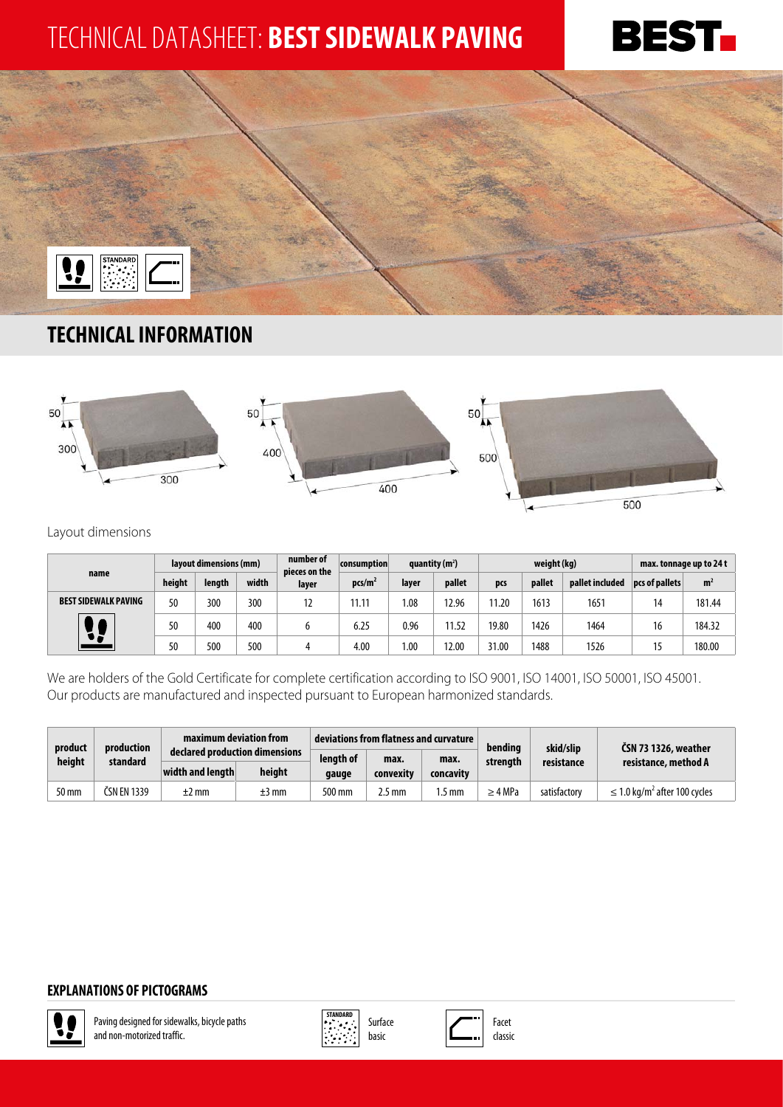# TECHNICAL DATASHEET: **BEST SIDEWALK PAVING**





### **TECHNICAL INFORMATION**



Layout dimensions

|                             | layout dimensions (mm) |        |       | number of<br>pieces on the | consumption        | quantity $(m2)$ |        | weight (kg) |        |                 | max. tonnage up to $24t$ |                |
|-----------------------------|------------------------|--------|-------|----------------------------|--------------------|-----------------|--------|-------------|--------|-----------------|--------------------------|----------------|
| name                        | height                 | length | width | layer                      | pcs/m <sup>2</sup> | layer           | pallet | pcs         | pallet | pallet included | pcs of pallets           | m <sup>2</sup> |
| <b>BEST SIDEWALK PAVING</b> | 50                     | 300    | 300   | 12                         | 11.11              | .08             | 2.96   | 11.20       | 1613   | 1651            | 14                       | 181.44         |
|                             | 50                     | 400    | 400   |                            | 6.25               | 0.96            | 11.52  | 19.80       | 1426   | 1464            | 16                       | 184.32         |
|                             | 50                     | 500    | 500   |                            | 4.00               | 1.00            | 12.00  | 31.00       | 1488   | 1526            | 15                       | 180.00         |

We are holders of the Gold Certificate for complete certification according to ISO 9001, ISO 14001, ISO 50001, ISO 45001. Our products are manufactured and inspected pursuant to European harmonized standards.

| product | production<br>standard | maximum deviation from                             |         |                    |                   | deviations from flatness and curvature | bendina      | skid/slip<br>resistance | ČSN 73 1326, weather<br>resistance, method A  |  |
|---------|------------------------|----------------------------------------------------|---------|--------------------|-------------------|----------------------------------------|--------------|-------------------------|-----------------------------------------------|--|
| height  |                        | declared production dimensions<br>width and length | height  | lenath of<br>gauge | max.<br>convexity | max.<br>concavity                      | strenath     |                         |                                               |  |
| 50 mm   | ČSN EN 1339            | $±2$ mm                                            | $±3$ mm | 500 mm             | 2.5 mm            | .5 mm                                  | $\geq 4$ MPa | satisfactory            | $\leq$ 1.0 kg/m <sup>2</sup> after 100 cycles |  |

#### **EXPLANATIONS OF PICTOGRAMS**